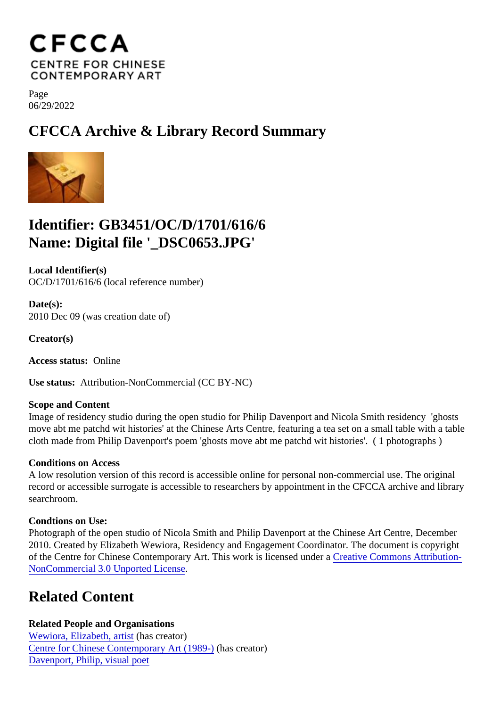Page 06/29/2022

CFCCA Archive & Library Record Summary

## Identifier: GB3451/OC/D/1701/616/6 Name: Digital file '\_DSC0653.JPG'

Local Identifier(s) OC/D/1701/616/6 (local reference number)

Date(s): 2010 Dec 09 (was creation date of)

Creator(s)

Access status: Online

Use status: Attribution-NonCommercial (CC BY-NC)

Scope and Content

Image of residency studio during the open studio for Philip Davenport and Nicola Smith residency 'ghosts move abt me patchd wit histories' at the Chinese Arts Centre, featuring a tea set on a small table with a ta cloth made from Philip Davenport's poem 'ghosts move abt me patchd wit histories'. ( 1 photographs )

## Conditions on Access

A low resolution version of this record is accessible online for personal non-commercial use. The original record or accessible surrogate is accessible to researchers by appointment in the CFCCA archive and libr searchroom.

Condtions on Use:

Photograph of the open studio of Nicola Smith and Philip Davenport at the Chinese Art Centre, December 2010. Created by Elizabeth Wewiora, Residency and Engagement Coordinator. The document is copyright of the Centre for Chinese Contemporary Art. This work is licensed under aive Commons Attribution-[NonCommercial 3.0 Unported Licen](https://creativecommons.org/licenses/by-nc/3.0/)se .

## Related Content

Related People and Organisations [Wewiora, Elizabeth, arti](/index.php/Detail/entities/751)shas creator) [Centre for Chinese Contemporary Art \(198](/index.php/Detail/entities/2)9-)(has creator) [Davenport, Philip, visual po](/index.php/Detail/entities/646)et